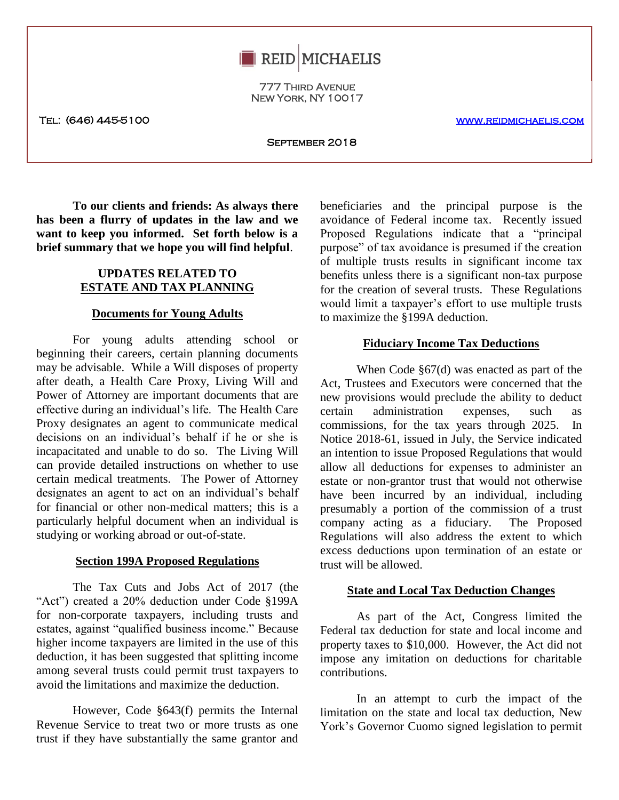

777 Third Avenue New York, NY 10017

Tel: (646) 445-5100 [www.reidmichaelis.com](http://www.reidmichaelis.com/) 

September 2018

**To our clients and friends: As always there has been a flurry of updates in the law and we want to keep you informed. Set forth below is a brief summary that we hope you will find helpful**.

# **UPDATES RELATED TO ESTATE AND TAX PLANNING**

## **Documents for Young Adults**

For young adults attending school or beginning their careers, certain planning documents may be advisable. While a Will disposes of property after death, a Health Care Proxy, Living Will and Power of Attorney are important documents that are effective during an individual's life. The Health Care Proxy designates an agent to communicate medical decisions on an individual's behalf if he or she is incapacitated and unable to do so. The Living Will can provide detailed instructions on whether to use certain medical treatments. The Power of Attorney designates an agent to act on an individual's behalf for financial or other non-medical matters; this is a particularly helpful document when an individual is studying or working abroad or out-of-state.

#### **Section 199A Proposed Regulations**

The Tax Cuts and Jobs Act of 2017 (the "Act") created a 20% deduction under Code §199A for non-corporate taxpayers, including trusts and estates, against "qualified business income." Because higher income taxpayers are limited in the use of this deduction, it has been suggested that splitting income among several trusts could permit trust taxpayers to avoid the limitations and maximize the deduction.

However, Code §643(f) permits the Internal Revenue Service to treat two or more trusts as one trust if they have substantially the same grantor and

**How is a** Proposed Regulations indicate that a principal helpful. purpose of tax avoidance is presumed if the creation beneficiaries and the principal purpose is the avoidance of Federal income tax. Recently issued Proposed Regulations indicate that a "principal of multiple trusts results in significant income tax benefits unless there is a significant non-tax purpose for the creation of several trusts. These Regulations would limit a taxpayer's effort to use multiple trusts to maximize the §199A deduction.

#### **Fiduciary Income Tax Deductions**

When Code §67(d) was enacted as part of the Act, Trustees and Executors were concerned that the new provisions would preclude the ability to deduct certain administration expenses, such as commissions, for the tax years through 2025. In Notice 2018-61, issued in July, the Service indicated an intention to issue Proposed Regulations that would allow all deductions for expenses to administer an estate or non-grantor trust that would not otherwise have been incurred by an individual, including presumably a portion of the commission of a trust company acting as a fiduciary. The Proposed Regulations will also address the extent to which excess deductions upon termination of an estate or trust will be allowed.

#### **State and Local Tax Deduction Changes**

As part of the Act, Congress limited the Federal tax deduction for state and local income and property taxes to \$10,000. However, the Act did not impose any imitation on deductions for charitable contributions.

In an attempt to curb the impact of the limitation on the state and local tax deduction, New York's Governor Cuomo signed legislation to permit